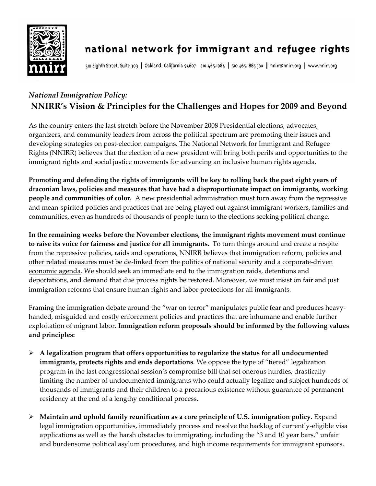

## national network for immigrant and refugee rights

310 Eighth Street, Suite 303 | Oakland, California 94607 510.465.1984 | 510.465.1885 fax | nnirr@nnirr.org | www.nnirr.org

## *National Immigration Policy:*  **NNIRR's Vision & Principles for the Challenges and Hopes for 2009 and Beyond**

As the country enters the last stretch before the November 2008 Presidential elections, advocates, organizers, and community leaders from across the political spectrum are promoting their issues and developing strategies on post-election campaigns. The National Network for Immigrant and Refugee Rights (NNIRR) believes that the election of a new president will bring both perils and opportunities to the immigrant rights and social justice movements for advancing an inclusive human rights agenda.

**Promoting and defending the rights of immigrants will be key to rolling back the past eight years of draconian laws, policies and measures that have had a disproportionate impact on immigrants, working people and communities of color.** A new presidential administration must turn away from the repressive and mean-spirited policies and practices that are being played out against immigrant workers, families and communities, even as hundreds of thousands of people turn to the elections seeking political change.

**In the remaining weeks before the November elections, the immigrant rights movement must continue to raise its voice for fairness and justice for all immigrants**. To turn things around and create a respite from the repressive policies, raids and operations, NNIRR believes that immigration reform, policies and other related measures must be de-linked from the politics of national security and a corporate-driven economic agenda. We should seek an immediate end to the immigration raids, detentions and deportations, and demand that due process rights be restored. Moreover, we must insist on fair and just immigration reforms that ensure human rights and labor protections for all immigrants.

Framing the immigration debate around the "war on terror" manipulates public fear and produces heavyhanded, misguided and costly enforcement policies and practices that are inhumane and enable further exploitation of migrant labor. **Immigration reform proposals should be informed by the following values and principles:** 

- ¾ **A legalization program that offers opportunities to regularize the status for all undocumented immigrants, protects rights and ends deportations**. We oppose the type of "tiered" legalization program in the last congressional session's compromise bill that set onerous hurdles, drastically limiting the number of undocumented immigrants who could actually legalize and subject hundreds of thousands of immigrants and their children to a precarious existence without guarantee of permanent residency at the end of a lengthy conditional process.
- ¾ **Maintain and uphold family reunification as a core principle of U.S. immigration policy.** Expand legal immigration opportunities, immediately process and resolve the backlog of currently-eligible visa applications as well as the harsh obstacles to immigrating, including the "3 and 10 year bars," unfair and burdensome political asylum procedures, and high income requirements for immigrant sponsors.